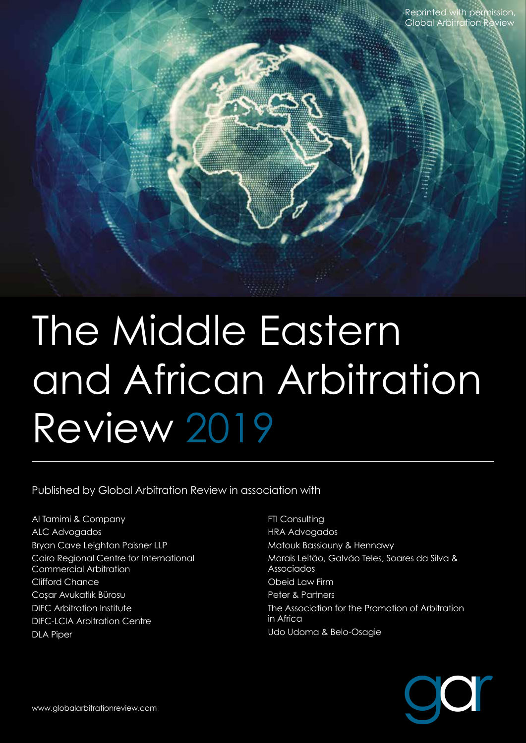

Published by Global Arbitration Review in association with

Al Tamimi & Company ALC Advogados Bryan Cave Leighton Paisner LLP Cairo Regional Centre for International Commercial Arbitration Clifford Chance Cosar Avukatlık Bürosu DIFC Arbitration Institute DIFC-LCIA Arbitration Centre DLA Piper

**FTI Consulting** HRA Advogados Matouk Bassiouny & Hennawy Morais Leitão, Galvão Teles, Soares da Silva & Associados Obeid Law Firm Peter & Partners The Association for the Promotion of Arbitration in Africa Udo Udoma & Belo-Osagie

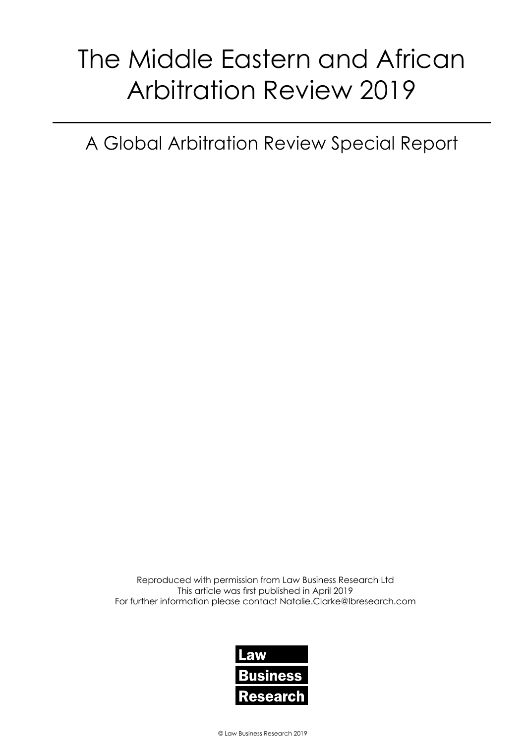A Global Arbitration Review Special Report

Reproduced with permission from Law Business Research Ltd This article was first published in April 2019 For further information please contact Natalie.Clarke@lbresearch.com

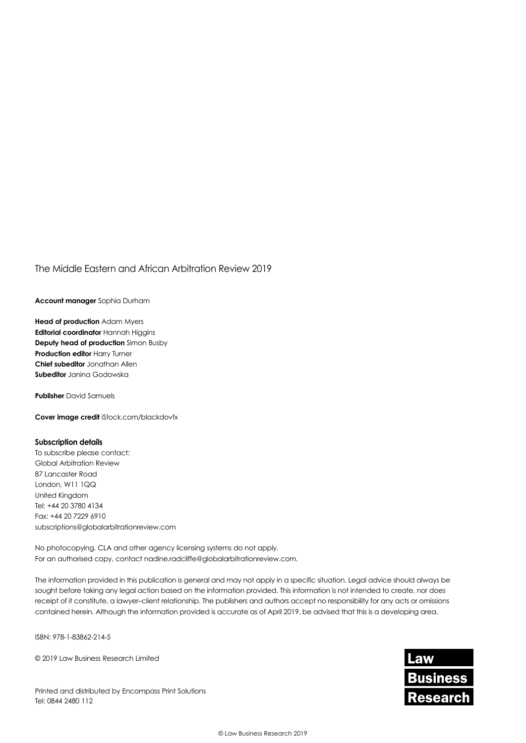**Account manager** Sophia Durham

**Head of production** Adam Myers **Editorial coordinator** Hannah Higgins **Deputy head of production** Simon Busby **Production editor Harry Turner Chief subeditor** Jonathan Allen **Subeditor** Janina Godowska

**Publisher** David Samuels

**Cover image credit** iStock.com/blackdovfx

#### **Subscription details**

To subscribe please contact: Global Arbitration Review 87 Lancaster Road London, W11 1QQ United Kingdom Tel: +44 20 3780 4134 Fax: +44 20 7229 6910 subscriptions@globalarbitrationreview.com

No photocopying. CLA and other agency licensing systems do not apply. For an authorised copy, contact nadine.radcliffe@globalarbitrationreview.com.

The information provided in this publication is general and may not apply in a specific situation. Legal advice should always be sought before taking any legal action based on the information provided. This information is not intended to create, nor does receipt of it constitute, a lawyer–client relationship. The publishers and authors accept no responsibility for any acts or omissions contained herein. Although the information provided is accurate as of April 2019, be advised that this is a developing area.

ISBN: 978-1-83862-214-5

© 2019 Law Business Research Limited

Printed and distributed by Encompass Print Solutions Tel: 0844 2480 112

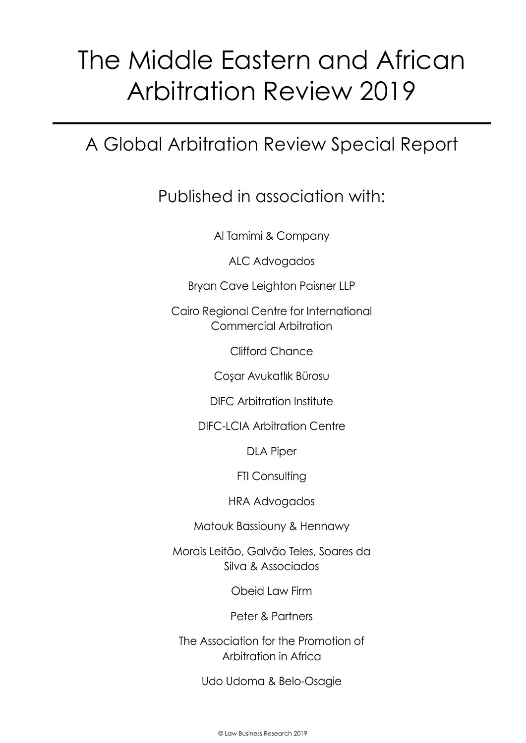# A Global Arbitration Review Special Report

### Published in association with:

Al Tamimi & Company

ALC Advogados

Bryan Cave Leighton Paisner LLP

Cairo Regional Centre for International Commercial Arbitration

Clifford Chance

Coşar Avukatlık Bürosu

DIFC Arbitration Institute

DIFC-LCIA Arbitration Centre

DLA Piper

FTI Consulting

HRA Advogados

Matouk Bassiouny & Hennawy

Morais Leitão, Galvão Teles, Soares da Silva & Associados

Obeid Law Firm

Peter & Partners

The Association for the Promotion of Arbitration in Africa

Udo Udoma & Belo-Osagie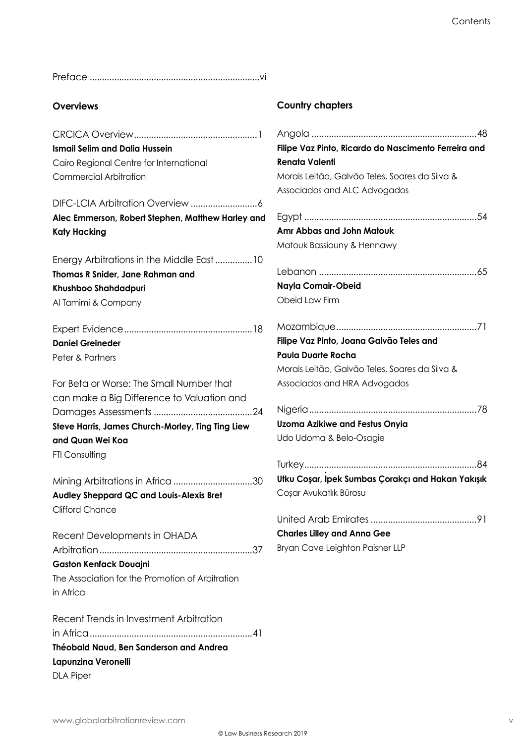Preface .....................................................................vi

#### **Overviews**

CRCICA Overview..................................................1 **Ismail Selim and Dalia Hussein** Cairo Regional Centre for International Commercial Arbitration

DIFC-LCIA Arbitration Overview ...........................6 **Alec Emmerson, Robert Stephen, Matthew Harley and Katy Hacking**

Energy Arbitrations in the Middle East...............10 **Thomas R Snider, Jane Rahman and Khushboo Shahdadpuri** Al Tamimi & Company

Expert Evidence....................................................18 **Daniel Greineder** Peter & Partners

For Beta or Worse: The Small Number that can make a Big Difference to Valuation and Damages Assessments ........................................24 **Steve Harris, James Church-Morley, Ting Ting Liew and Quan Wei Koa FTI Consulting** 

Mining Arbitrations in Africa ................................30 **Audley Sheppard QC and Louis-Alexis Bret** Clifford Chance

Recent Developments in OHADA Arbitration..............................................................37 **Gaston Kenfack Douajni** The Association for the Promotion of Arbitration in Africa

Recent Trends in Investment Arbitration in Africa..................................................................41 **Théobald Naud, Ben Sanderson and Andrea Lapunzina Veronelli** DLA Piper

#### **Country chapters**

| Filipe Vaz Pinto, Ricardo do Nascimento Ferreira and |
|------------------------------------------------------|
| <b>Renata Valenti</b>                                |
| Morais Leitão, Galvão Teles, Soares da Silva &       |
| Associados and ALC Advogados                         |
|                                                      |
| Amr Abbas and John Matouk                            |
| Matouk Bassiouny & Hennawy                           |
|                                                      |
| Nayla Comair-Obeid                                   |
| Obeid Law Firm                                       |
|                                                      |
| Filipe Vaz Pinto, Joana Galvão Teles and             |
| <b>Paula Duarte Rocha</b>                            |
| Morais Leitão, Galvão Teles, Soares da Silva &       |
| Associados and HRA Advogados                         |
|                                                      |
| <b>Uzoma Azikiwe and Festus Onyia</b>                |
| Udo Udoma & Belo-Osagie                              |
|                                                      |
| Utku Coşar, Ipek Sumbas Çorakçı and Hakan Yakışık    |
| Coşar Avukatlık Bürosu                               |
| United Arab Emirates<br>91                           |
| <b>Charles Lilley and Anna Gee</b>                   |
| Bryan Cave Leighton Paisner LLP                      |
|                                                      |
|                                                      |
|                                                      |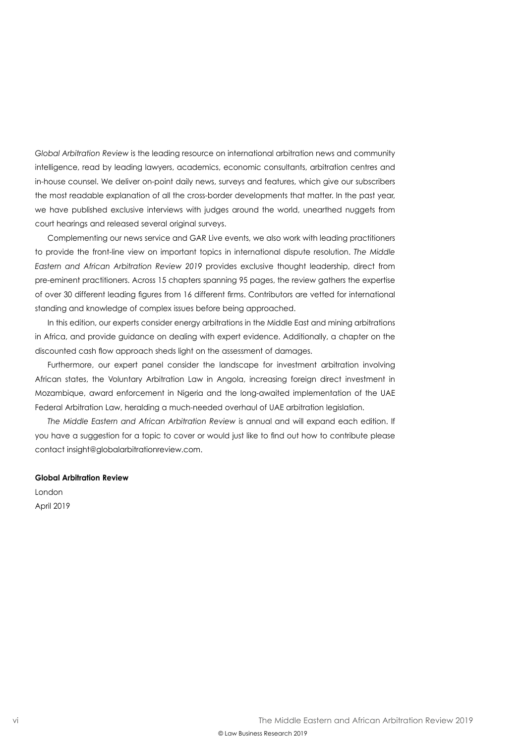*Global Arbitration Review* is the leading resource on international arbitration news and community intelligence, read by leading lawyers, academics, economic consultants, arbitration centres and in-house counsel. We deliver on-point daily news, surveys and features, which give our subscribers the most readable explanation of all the cross-border developments that matter. In the past year, we have published exclusive interviews with judges around the world, unearthed nuggets from court hearings and released several original surveys.

Complementing our news service and GAR Live events, we also work with leading practitioners to provide the front-line view on important topics in international dispute resolution. *The Middle Eastern and African Arbitration Review 2019* provides exclusive thought leadership, direct from pre-eminent practitioners. Across 15 chapters spanning 95 pages, the review gathers the expertise of over 30 different leading figures from 16 different firms. Contributors are vetted for international standing and knowledge of complex issues before being approached.

In this edition, our experts consider energy arbitrations in the Middle East and mining arbitrations in Africa, and provide guidance on dealing with expert evidence. Additionally, a chapter on the discounted cash flow approach sheds light on the assessment of damages.

Furthermore, our expert panel consider the landscape for investment arbitration involving African states, the Voluntary Arbitration Law in Angola, increasing foreign direct investment in Mozambique, award enforcement in Nigeria and the long-awaited implementation of the UAE Federal Arbitration Law, heralding a much-needed overhaul of UAE arbitration legislation.

*The Middle Eastern and African Arbitration Review* is annual and will expand each edition. If you have a suggestion for a topic to cover or would just like to find out how to contribute please contact insight@globalarbitrationreview.com.

#### **Global Arbitration Review**

London April 2019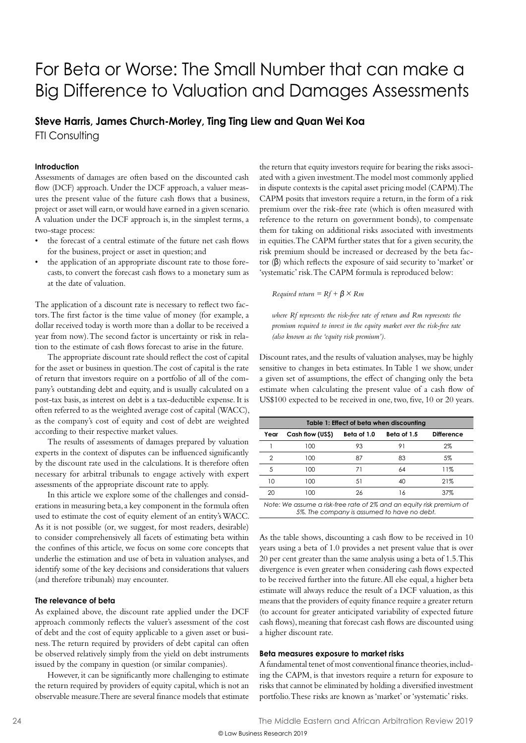### For Beta or Worse: The Small Number that can make a Big Difference to Valuation and Damages Assessments

## **Steve Harris, James Church-Morley, Ting Ting Liew and Quan Wei Koa**

FTI Consulting

#### **Introduction**

Assessments of damages are often based on the discounted cash flow (DCF) approach. Under the DCF approach, a valuer measures the present value of the future cash flows that a business, project or asset will earn, or would have earned in a given scenario. A valuation under the DCF approach is, in the simplest terms, a two-stage process:

- the forecast of a central estimate of the future net cash flows for the business, project or asset in question; and
- the application of an appropriate discount rate to those forecasts, to convert the forecast cash flows to a monetary sum as at the date of valuation.

The application of a discount rate is necessary to reflect two factors. The first factor is the time value of money (for example, a dollar received today is worth more than a dollar to be received a year from now). The second factor is uncertainty or risk in relation to the estimate of cash flows forecast to arise in the future.

The appropriate discount rate should reflect the cost of capital for the asset or business in question. The cost of capital is the rate of return that investors require on a portfolio of all of the company's outstanding debt and equity, and is usually calculated on a post-tax basis, as interest on debt is a tax-deductible expense. It is often referred to as the weighted average cost of capital (WACC), as the company's cost of equity and cost of debt are weighted according to their respective market values.

The results of assessments of damages prepared by valuation experts in the context of disputes can be influenced significantly by the discount rate used in the calculations. It is therefore often necessary for arbitral tribunals to engage actively with expert assessments of the appropriate discount rate to apply.

In this article we explore some of the challenges and considerations in measuring beta, a key component in the formula often used to estimate the cost of equity element of an entity's WACC. As it is not possible (or, we suggest, for most readers, desirable) to consider comprehensively all facets of estimating beta within the confines of this article, we focus on some core concepts that underlie the estimation and use of beta in valuation analyses, and identify some of the key decisions and considerations that valuers (and therefore tribunals) may encounter.

#### **The relevance of beta**

As explained above, the discount rate applied under the DCF approach commonly reflects the valuer's assessment of the cost of debt and the cost of equity applicable to a given asset or business. The return required by providers of debt capital can often be observed relatively simply from the yield on debt instruments issued by the company in question (or similar companies).

However, it can be significantly more challenging to estimate the return required by providers of equity capital, which is not an observable measure. There are several finance models that estimate the return that equity investors require for bearing the risks associated with a given investment. The model most commonly applied in dispute contexts is the capital asset pricing model (CAPM). The CAPM posits that investors require a return, in the form of a risk premium over the risk-free rate (which is often measured with reference to the return on government bonds), to compensate them for taking on additional risks associated with investments in equities. The CAPM further states that for a given security, the risk premium should be increased or decreased by the beta factor (β) which reflects the exposure of said security to 'market' or 'systematic' risk. The CAPM formula is reproduced below:

*Required return =*  $Rf + \beta \times Rm$ 

*where Rf represents the risk-free rate of return and Rm represents the premium required to invest in the equity market over the risk-free rate (also known as the 'equity risk premium').*

Discount rates, and the results of valuation analyses, may be highly sensitive to changes in beta estimates. In Table 1 we show, under a given set of assumptions, the effect of changing only the beta estimate when calculating the present value of a cash flow of US\$100 expected to be received in one, two, five, 10 or 20 years.

| Table 1: Effect of beta when discounting                             |                  |             |             |                   |
|----------------------------------------------------------------------|------------------|-------------|-------------|-------------------|
| Year                                                                 | Cash flow (US\$) | Beta of 1.0 | Beta of 1.5 | <b>Difference</b> |
|                                                                      | 100              | 93          | 91          | $2\%$             |
| 2                                                                    | 100              | 87          | 83          | 5%                |
| 5                                                                    | 100              | 71          | 64          | 11%               |
| 10                                                                   | 100              | 51          | 40          | 21%               |
| 20                                                                   | 100              | 26          | 16          | 37%               |
| Note: We assume a risk-free rate of 2% and an equity risk premium of |                  |             |             |                   |

*5%. The company is assumed to have no debt.*

As the table shows, discounting a cash flow to be received in 10 years using a beta of 1.0 provides a net present value that is over 20 per cent greater than the same analysis using a beta of 1.5. This divergence is even greater when considering cash flows expected to be received further into the future. All else equal, a higher beta estimate will always reduce the result of a DCF valuation, as this means that the providers of equity finance require a greater return (to account for greater anticipated variability of expected future cash flows), meaning that forecast cash flows are discounted using a higher discount rate.

#### **Beta measures exposure to market risks**

A fundamental tenet of most conventional finance theories, including the CAPM, is that investors require a return for exposure to risks that cannot be eliminated by holding a diversified investment portfolio. These risks are known as 'market' or 'systematic' risks.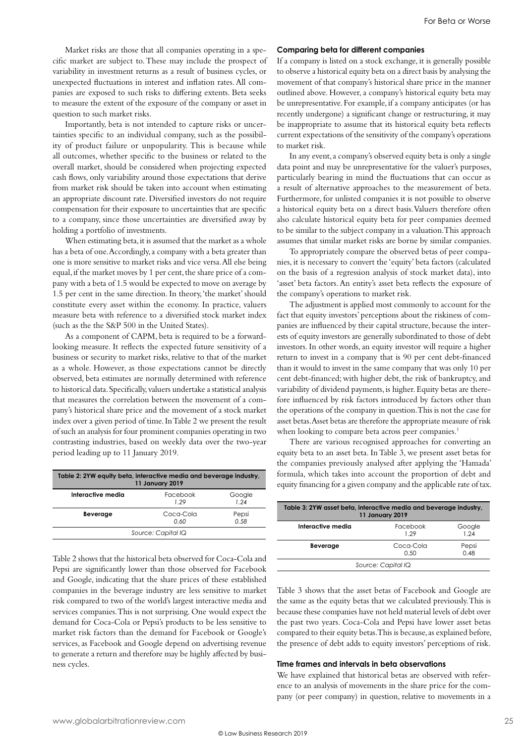Market risks are those that all companies operating in a specific market are subject to. These may include the prospect of variability in investment returns as a result of business cycles, or unexpected fluctuations in interest and inflation rates. All companies are exposed to such risks to differing extents. Beta seeks to measure the extent of the exposure of the company or asset in question to such market risks.

Importantly, beta is not intended to capture risks or uncertainties specific to an individual company, such as the possibility of product failure or unpopularity. This is because while all outcomes, whether specific to the business or related to the overall market, should be considered when projecting expected cash flows, only variability around those expectations that derive from market risk should be taken into account when estimating an appropriate discount rate. Diversified investors do not require compensation for their exposure to uncertainties that are specific to a company, since those uncertainties are diversified away by holding a portfolio of investments.

When estimating beta, it is assumed that the market as a whole has a beta of one. Accordingly, a company with a beta greater than one is more sensitive to market risks and vice versa. All else being equal, if the market moves by 1 per cent, the share price of a company with a beta of 1.5 would be expected to move on average by 1.5 per cent in the same direction. In theory, 'the market' should constitute every asset within the economy. In practice, valuers measure beta with reference to a diversified stock market index (such as the the S&P 500 in the United States).

As a component of CAPM, beta is required to be a forwardlooking measure. It reflects the expected future sensitivity of a business or security to market risks, relative to that of the market as a whole. However, as those expectations cannot be directly observed, beta estimates are normally determined with reference to historical data. Specifically, valuers undertake a statistical analysis that measures the correlation between the movement of a company's historical share price and the movement of a stock market index over a given period of time. In Table 2 we present the result of such an analysis for four prominent companies operating in two contrasting industries, based on weekly data over the two-year period leading up to 11 January 2019.

| Table 2: 2YW equity beta, interactive media and beverage industry,<br>11 January 2019 |                   |               |  |
|---------------------------------------------------------------------------------------|-------------------|---------------|--|
| Interactive media                                                                     | Facebook<br>1 29  | Google<br>124 |  |
| Beverage                                                                              | Coca-Cola<br>0.60 | Pepsi<br>0.58 |  |
| Source: Capital IQ                                                                    |                   |               |  |

Table 2 shows that the historical beta observed for Coca-Cola and Pepsi are significantly lower than those observed for Facebook and Google, indicating that the share prices of these established companies in the beverage industry are less sensitive to market risk compared to two of the world's largest interactive media and services companies. This is not surprising. One would expect the demand for Coca-Cola or Pepsi's products to be less sensitive to market risk factors than the demand for Facebook or Google's services, as Facebook and Google depend on advertising revenue to generate a return and therefore may be highly affected by business cycles.

#### **Comparing beta for different companies**

If a company is listed on a stock exchange, it is generally possible to observe a historical equity beta on a direct basis by analysing the movement of that company's historical share price in the manner outlined above. However, a company's historical equity beta may be unrepresentative. For example, if a company anticipates (or has recently undergone) a significant change or restructuring, it may be inappropriate to assume that its historical equity beta reflects current expectations of the sensitivity of the company's operations to market risk.

In any event, a company's observed equity beta is only a single data point and may be unrepresentative for the valuer's purposes, particularly bearing in mind the fluctuations that can occur as a result of alternative approaches to the measurement of beta. Furthermore, for unlisted companies it is not possible to observe a historical equity beta on a direct basis. Valuers therefore often also calculate historical equity beta for peer companies deemed to be similar to the subject company in a valuation. This approach assumes that similar market risks are borne by similar companies.

To appropriately compare the observed betas of peer companies, it is necessary to convert the 'equity' beta factors (calculated on the basis of a regression analysis of stock market data), into 'asset' beta factors. An entity's asset beta reflects the exposure of the company's operations to market risk.

The adjustment is applied most commonly to account for the fact that equity investors' perceptions about the riskiness of companies are influenced by their capital structure, because the interests of equity investors are generally subordinated to those of debt investors. In other words, an equity investor will require a higher return to invest in a company that is 90 per cent debt-financed than it would to invest in the same company that was only 10 per cent debt-financed; with higher debt, the risk of bankruptcy, and variability of dividend payments, is higher. Equity betas are therefore influenced by risk factors introduced by factors other than the operations of the company in question. This is not the case for asset betas. Asset betas are therefore the appropriate measure of risk when looking to compare beta across peer companies.<sup>1</sup>

There are various recognised approaches for converting an equity beta to an asset beta. In Table 3, we present asset betas for the companies previously analysed after applying the 'Hamada' formula, which takes into account the proportion of debt and equity financing for a given company and the applicable rate of tax.

| Table 3: 2YW asset beta, interactive media and beverage industry,<br>11 January 2019 |                   |                |  |
|--------------------------------------------------------------------------------------|-------------------|----------------|--|
| Interactive media                                                                    | Facebook<br>1 29  | Google<br>1 24 |  |
| <b>Beverage</b>                                                                      | Coca-Cola<br>0.50 | Pepsi<br>0.48  |  |
| Source: Capital IQ                                                                   |                   |                |  |

Table 3 shows that the asset betas of Facebook and Google are the same as the equity betas that we calculated previously. This is because these companies have not held material levels of debt over the past two years. Coca-Cola and Pepsi have lower asset betas compared to their equity betas. This is because, as explained before, the presence of debt adds to equity investors' perceptions of risk.

#### **Time frames and intervals in beta observations**

We have explained that historical betas are observed with reference to an analysis of movements in the share price for the company (or peer company) in question, relative to movements in a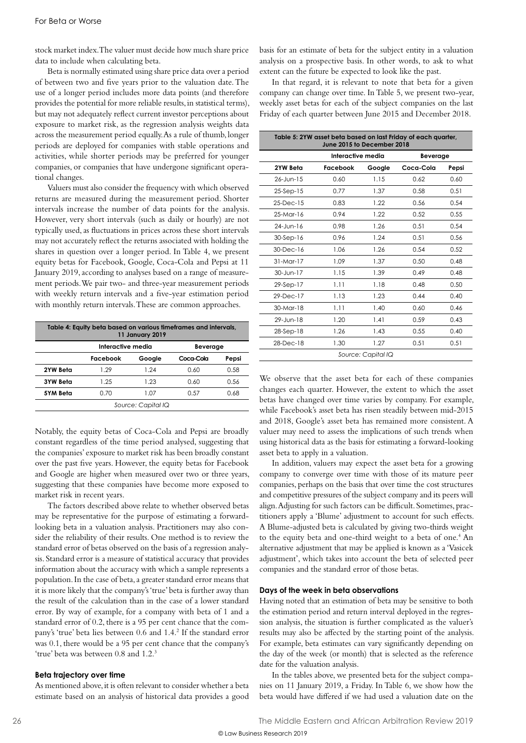stock market index. The valuer must decide how much share price data to include when calculating beta.

Beta is normally estimated using share price data over a period of between two and five years prior to the valuation date. The use of a longer period includes more data points (and therefore provides the potential for more reliable results, in statistical terms), but may not adequately reflect current investor perceptions about exposure to market risk, as the regression analysis weights data across the measurement period equally. As a rule of thumb, longer periods are deployed for companies with stable operations and activities, while shorter periods may be preferred for younger companies, or companies that have undergone significant operational changes.

Valuers must also consider the frequency with which observed returns are measured during the measurement period. Shorter intervals increase the number of data points for the analysis. However, very short intervals (such as daily or hourly) are not typically used, as fluctuations in prices across these short intervals may not accurately reflect the returns associated with holding the shares in question over a longer period. In Table 4, we present equity betas for Facebook, Google, Coca-Cola and Pepsi at 11 January 2019, according to analyses based on a range of measurement periods. We pair two- and three-year measurement periods with weekly return intervals and a five-year estimation period with monthly return intervals. These are common approaches.

| Table 4: Equity beta based on various timeframes and intervals,<br><b>11 January 2019</b> |                   |        |           |       |
|-------------------------------------------------------------------------------------------|-------------------|--------|-----------|-------|
|                                                                                           | Interactive media |        | Beverage  |       |
|                                                                                           | Facebook          | Google | Coca-Cola | Pepsi |
| 2YW Beta                                                                                  | 1 29              | 1 24   | 0.60      | 0.58  |
| <b>3YW Beta</b>                                                                           | 1.25              | 1.23   | በ ለበ      | 0.56  |
| 5YM Beta                                                                                  | 0.70              | 1.07   | 0.57      | 0.68  |
| Source: Capital IQ                                                                        |                   |        |           |       |

Notably, the equity betas of Coca-Cola and Pepsi are broadly constant regardless of the time period analysed, suggesting that the companies' exposure to market risk has been broadly constant over the past five years. However, the equity betas for Facebook and Google are higher when measured over two or three years, suggesting that these companies have become more exposed to market risk in recent years.

The factors described above relate to whether observed betas may be representative for the purpose of estimating a forwardlooking beta in a valuation analysis. Practitioners may also consider the reliability of their results. One method is to review the standard error of betas observed on the basis of a regression analysis. Standard error is a measure of statistical accuracy that provides information about the accuracy with which a sample represents a population. In the case of beta, a greater standard error means that it is more likely that the company's 'true' beta is further away than the result of the calculation than in the case of a lower standard error. By way of example, for a company with beta of 1 and a standard error of 0.2, there is a 95 per cent chance that the company's 'true' beta lies between 0.6 and 1.4.<sup>2</sup> If the standard error was 0.1, there would be a 95 per cent chance that the company's 'true' beta was between 0.8 and 1.2.3

#### **Beta trajectory over time**

As mentioned above, it is often relevant to consider whether a beta estimate based on an analysis of historical data provides a good basis for an estimate of beta for the subject entity in a valuation analysis on a prospective basis. In other words, to ask to what extent can the future be expected to look like the past.

In that regard, it is relevant to note that beta for a given company can change over time. In Table 5, we present two-year, weekly asset betas for each of the subject companies on the last Friday of each quarter between June 2015 and December 2018.

| Table 5: 2YW asset beta based on last Friday of each quarter,<br>June 2015 to December 2018 |                   |        |           |       |  |
|---------------------------------------------------------------------------------------------|-------------------|--------|-----------|-------|--|
|                                                                                             | Interactive media |        | Beverage  |       |  |
| 2YW Beta                                                                                    | Facebook          | Google | Coca-Cola | Pepsi |  |
| $26 -$ Jun-15                                                                               | 0.60              | 1.15   | 0.62      | 0.60  |  |
| $25-$ Sep $-15$                                                                             | 0.77              | 1.37   | 0.58      | 0.51  |  |
| $25$ -Dec-15                                                                                | 0.83              | 1.22   | 0.56      | 0.54  |  |
| $25-Mar-16$                                                                                 | 0.94              | 1.22   | 0.52      | 0.55  |  |
| 24-Jun-16                                                                                   | 0.98              | 1.26   | 0.51      | 0.54  |  |
| $30-Sep-16$                                                                                 | 0.96              | 1.24   | 0.51      | 0.56  |  |
| $30$ -Dec-16                                                                                | 1.06              | 1.26   | 0.54      | 0.52  |  |
| $31-Mor-17$                                                                                 | 1.09              | 1.37   | 0.50      | 0.48  |  |
| 30-Jun-17                                                                                   | 1.15              | 1.39   | 0.49      | 0.48  |  |
| 29-Sep-17                                                                                   | 1.11              | 1.18   | 0.48      | 0.50  |  |
| $29$ -Dec-17                                                                                | 1.13              | 1.23   | 0.44      | 0.40  |  |
| 30-Mar-18                                                                                   | 1.11              | 1.40   | 0.60      | 0.46  |  |
| 29-Jun-18                                                                                   | 1.20              | 1.41   | 0.59      | 0.43  |  |
| 28-Sep-18                                                                                   | 1.26              | 1.43   | 0.55      | 0.40  |  |
| 28-Dec-18                                                                                   | 1.30              | 1.27   | 0.51      | 0.51  |  |
| Source: Capital IQ                                                                          |                   |        |           |       |  |

We observe that the asset beta for each of these companies changes each quarter. However, the extent to which the asset betas have changed over time varies by company. For example, while Facebook's asset beta has risen steadily between mid-2015 and 2018, Google's asset beta has remained more consistent. A valuer may need to assess the implications of such trends when using historical data as the basis for estimating a forward-looking asset beta to apply in a valuation.

In addition, valuers may expect the asset beta for a growing company to converge over time with those of its mature peer companies, perhaps on the basis that over time the cost structures and competitive pressures of the subject company and its peers will align. Adjusting for such factors can be difficult. Sometimes, practitioners apply a 'Blume' adjustment to account for such effects. A Blume-adjusted beta is calculated by giving two-thirds weight to the equity beta and one-third weight to a beta of one.<sup>4</sup> An alternative adjustment that may be applied is known as a 'Vasicek adjustment', which takes into account the beta of selected peer companies and the standard error of those betas.

#### **Days of the week in beta observations**

Having noted that an estimation of beta may be sensitive to both the estimation period and return interval deployed in the regression analysis, the situation is further complicated as the valuer's results may also be affected by the starting point of the analysis. For example, beta estimates can vary significantly depending on the day of the week (or month) that is selected as the reference date for the valuation analysis.

In the tables above, we presented beta for the subject companies on 11 January 2019, a Friday. In Table 6, we show how the beta would have differed if we had used a valuation date on the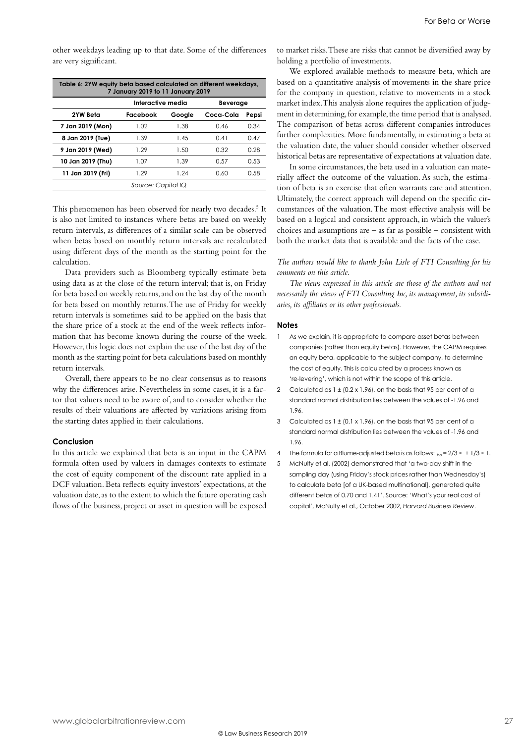other weekdays leading up to that date. Some of the differences are very significant.

| Table 6: 2YW equity beta based calculated on different weekdays,<br>7 January 2019 to 11 January 2019 |                   |        |           |       |  |
|-------------------------------------------------------------------------------------------------------|-------------------|--------|-----------|-------|--|
|                                                                                                       | Interactive media |        | Beverage  |       |  |
| 2YW Beta                                                                                              | Facebook          | Google | Coca-Cola | Pepsi |  |
| 7 Jan 2019 (Mon)                                                                                      | 1.02              | 1.38   | O 46      | 0.34  |  |
| 8 Jan 2019 (Tue)                                                                                      | 1.39              | 1.45   | 0.41      | 0.47  |  |
| 9 Jan 2019 (Wed)                                                                                      | 1.29              | 1.50   | 0.32      | 0.28  |  |
| 10 Jan 2019 (Thu)                                                                                     | 1.07              | 1.39   | 0.57      | 0.53  |  |
| 11 Jan 2019 (Fri)                                                                                     | 1 29              | 1 24   | 0 YU      | 0.58  |  |
| Source: Capital IQ                                                                                    |                   |        |           |       |  |

This phenomenon has been observed for nearly two decades.<sup>5</sup> It is also not limited to instances where betas are based on weekly return intervals, as differences of a similar scale can be observed when betas based on monthly return intervals are recalculated using different days of the month as the starting point for the calculation.

Data providers such as Bloomberg typically estimate beta using data as at the close of the return interval; that is, on Friday for beta based on weekly returns, and on the last day of the month for beta based on monthly returns. The use of Friday for weekly return intervals is sometimes said to be applied on the basis that the share price of a stock at the end of the week reflects information that has become known during the course of the week. However, this logic does not explain the use of the last day of the month as the starting point for beta calculations based on monthly return intervals.

Overall, there appears to be no clear consensus as to reasons why the differences arise. Nevertheless in some cases, it is a factor that valuers need to be aware of, and to consider whether the results of their valuations are affected by variations arising from the starting dates applied in their calculations.

#### **Conclusion**

In this article we explained that beta is an input in the CAPM formula often used by valuers in damages contexts to estimate the cost of equity component of the discount rate applied in a DCF valuation. Beta reflects equity investors' expectations, at the valuation date, as to the extent to which the future operating cash flows of the business, project or asset in question will be exposed to market risks. These are risks that cannot be diversified away by holding a portfolio of investments.

We explored available methods to measure beta, which are based on a quantitative analysis of movements in the share price for the company in question, relative to movements in a stock market index. This analysis alone requires the application of judgment in determining, for example, the time period that is analysed. The comparison of betas across different companies introduces further complexities. More fundamentally, in estimating a beta at the valuation date, the valuer should consider whether observed historical betas are representative of expectations at valuation date.

In some circumstances, the beta used in a valuation can materially affect the outcome of the valuation. As such, the estimation of beta is an exercise that often warrants care and attention. Ultimately, the correct approach will depend on the specific circumstances of the valuation. The most effective analysis will be based on a logical and consistent approach, in which the valuer's choices and assumptions are – as far as possible – consistent with both the market data that is available and the facts of the case.

#### *The authors would like to thank John Lisle of FTI Consulting for his comments on this article.*

*The views expressed in this article are those of the authors and not necessarily the views of FTI Consulting Inc, its management, its subsidiaries, its affiliates or its other professionals.* 

#### **Notes**

- As we explain, it is appropriate to compare asset betas between companies (rather than equity betas). However, the CAPM requires an equity beta, applicable to the subject company, to determine the cost of equity. This is calculated by a process known as 're-levering', which is not within the scope of this article.
- 2 Calculated as  $1 \pm (0.2 \times 1.96)$ , on the basis that 95 per cent of a standard normal distribution lies between the values of -1.96 and 1.96.
- 3 Calculated as 1 ± (0.1 x 1.96), on the basis that 95 per cent of a standard normal distribution lies between the values of -1.96 and 1.96.
- 4 The formula for a Blume-adjusted beta is as follows:  $b = 2/3 \times 1/3 \times 1$ .
- 5 McNulty et al. (2002) demonstrated that 'a two-day shift in the sampling day (using Friday's stock prices rather than Wednesday's) to calculate beta [of a UK-based multinational], generated quite different betas of 0.70 and 1.41'. Source: 'What's your real cost of capital', McNulty et al., October 2002, *Harvard Business Review*.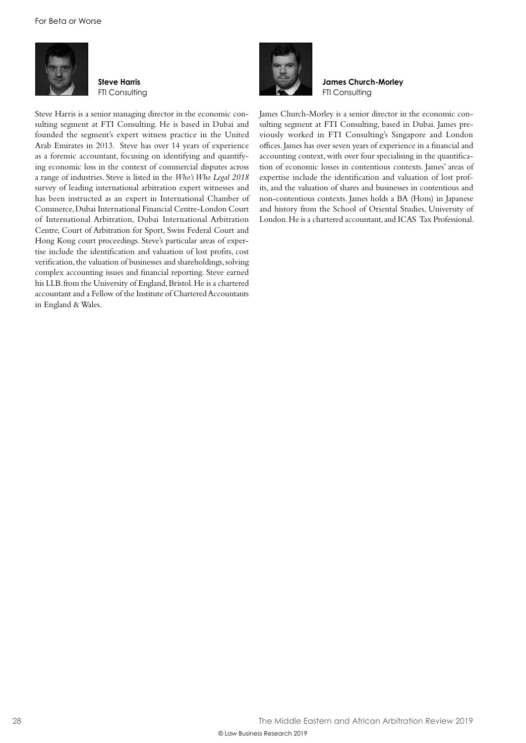

**Steve Harris FTI Consulting** 





**James Church-Morley** FTI Consulting

James Church-Morley is a senior director in the economic consulting segment at FTI Consulting, based in Dubai. James previously worked in FTI Consulting's Singapore and London offices. James has over seven years of experience in a financial and accounting context, with over four specialising in the quantification of economic losses in contentious contexts. James' areas of expertise include the identification and valuation of lost profits, and the valuation of shares and businesses in contentious and non-contentious contexts. James holds a BA (Hons) in Japanese and history from the School of Oriental Studies, University of London. He is a chartered accountant, and ICAS Tax Professional.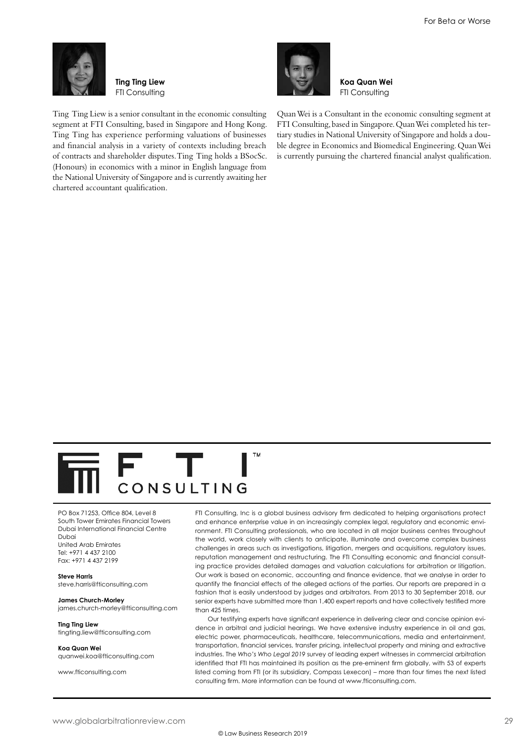

**Ting Ting Liew FTI Consulting** 

chartered accountant qualification.

Ting Ting Liew is a senior consultant in the economic consulting segment at FTI Consulting, based in Singapore and Hong Kong. Ting Ting has experience performing valuations of businesses and financial analysis in a variety of contexts including breach of contracts and shareholder disputes. Ting Ting holds a BSocSc. (Honours) in economics with a minor in English language from the National University of Singapore and is currently awaiting her



**Koa Quan Wei FTI Consulting** 

Quan Wei is a Consultant in the economic consulting segment at FTI Consulting, based in Singapore. Quan Wei completed his tertiary studies in National University of Singapore and holds a double degree in Economics and Biomedical Engineering. Quan Wei is currently pursuing the chartered financial analyst qualification.

FТ CONSULTING

PO Box 71253, Office 804, Level 8 South Tower Emirates Financial Towers Dubai International Financial Centre Dubai United Arab Emirates Tel: +971 4 437 2100 Fax: +971 4 437 2199

**Steve Harris**  steve.harris@fticonsulting.com

**James Church-Morley** james.church-morley@fticonsulting.com

**Ting Ting Liew** tingting.liew@fticonsulting.com

**Koa Quan Wei** quanwei.koa@fticonsulting.com

www.fticonsulting.com

FTI Consulting, Inc is a global business advisory firm dedicated to helping organisations protect and enhance enterprise value in an increasingly complex legal, regulatory and economic environment. FTI Consulting professionals, who are located in all major business centres throughout the world, work closely with clients to anticipate, illuminate and overcome complex business challenges in areas such as investigations, litigation, mergers and acquisitions, regulatory issues, reputation management and restructuring. The FTI Consulting economic and financial consulting practice provides detailed damages and valuation calculations for arbitration or litigation. Our work is based on economic, accounting and finance evidence, that we analyse in order to quantify the financial effects of the alleged actions of the parties. Our reports are prepared in a fashion that is easily understood by judges and arbitrators. From 2013 to 30 September 2018, our senior experts have submitted more than 1,400 expert reports and have collectively testified more than 425 times.

Our testifying experts have significant experience in delivering clear and concise opinion evidence in arbitral and judicial hearings. We have extensive industry experience in oil and gas, electric power, pharmaceuticals, healthcare, telecommunications, media and entertainment, transportation, financial services, transfer pricing, intellectual property and mining and extractive industries. The *Who's Who Legal 2019* survey of leading expert witnesses in commercial arbitration identified that FTI has maintained its position as the pre-eminent firm globally, with 53 of experts listed coming from FTI (or its subsidiary, Compass Lexecon) – more than four times the next listed consulting firm. More information can be found at www.fticonsulting.com.